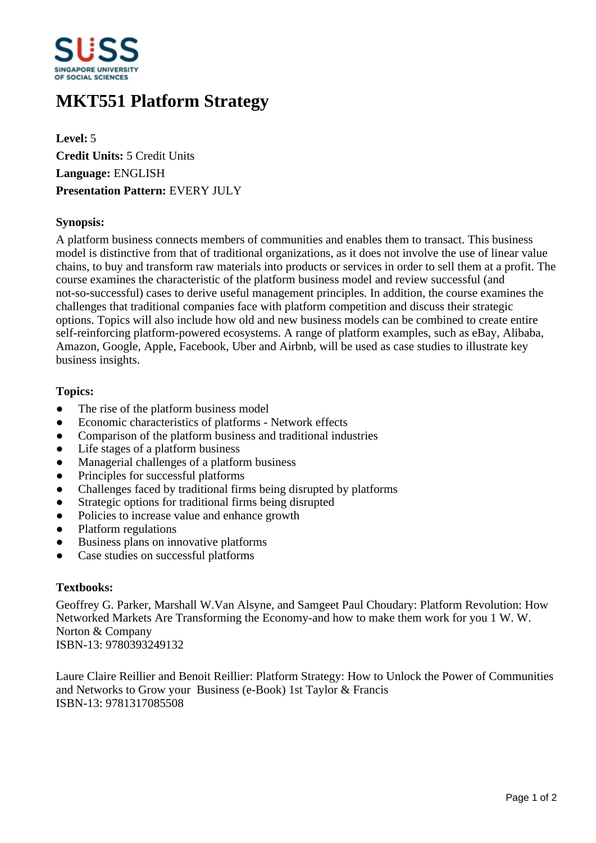

# **MKT551 Platform Strategy**

**Level:** 5 **Credit Units:** 5 Credit Units **Language:** ENGLISH **Presentation Pattern:** EVERY JULY

## **Synopsis:**

A platform business connects members of communities and enables them to transact. This business model is distinctive from that of traditional organizations, as it does not involve the use of linear value chains, to buy and transform raw materials into products or services in order to sell them at a profit. The course examines the characteristic of the platform business model and review successful (and not-so-successful) cases to derive useful management principles. In addition, the course examines the challenges that traditional companies face with platform competition and discuss their strategic options. Topics will also include how old and new business models can be combined to create entire self-reinforcing platform-powered ecosystems. A range of platform examples, such as eBay, Alibaba, Amazon, Google, Apple, Facebook, Uber and Airbnb, will be used as case studies to illustrate key business insights.

## **Topics:**

- The rise of the platform business model
- ƔEconomic characteristics of platforms Network effects
- Comparison of the platform business and traditional industries
- Life stages of a platform business
- Managerial challenges of a platform business
- Principles for successful platforms
- Challenges faced by traditional firms being disrupted by platforms
- Strategic options for traditional firms being disrupted
- Policies to increase value and enhance growth
- Platform regulations
- Business plans on innovative platforms
- Case studies on successful platforms

#### **Textbooks:**

Geoffrey G. Parker, Marshall W.Van Alsyne, and Samgeet Paul Choudary: Platform Revolution: How Networked Markets Are Transforming the Economy-and how to make them work for you 1 W. W. Norton & Company ISBN-13: 9780393249132

Laure Claire Reillier and Benoit Reillier: Platform Strategy: How to Unlock the Power of Communities and Networks to Grow your Business (e-Book) 1st Taylor & Francis ISBN-13: 9781317085508